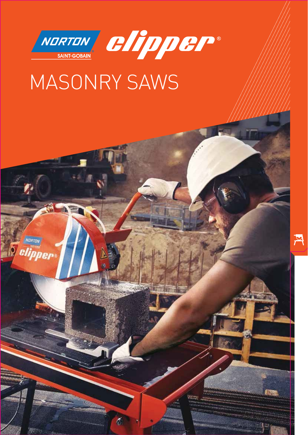

NORTON

*Selipper* 



# MASONRY SAWS

 $\delta$ 

MASONRY SAWS 87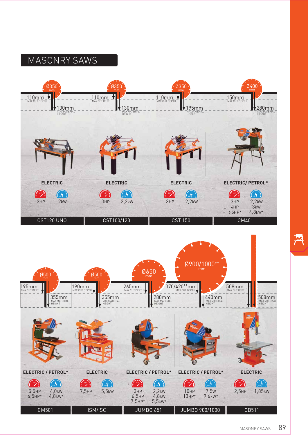### MASONRY SAWS